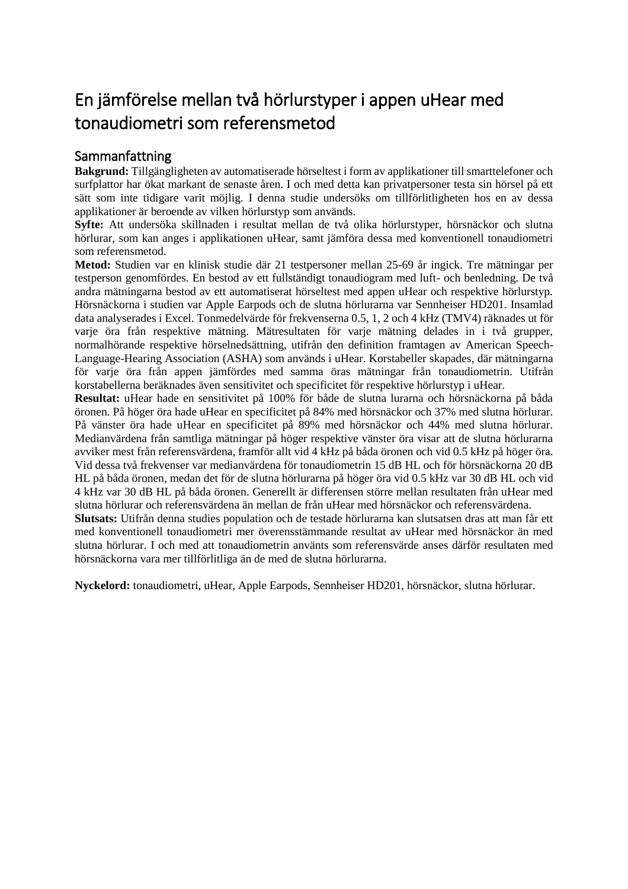## En jämförelse mellan två hörlurstyper i appen uHear med tonaudiometri som referensmetod

## Sammanfattning

**Bakgrund:** Tillgängligheten av automatiserade hörseltest i form av applikationer till smarttelefoner och surfplattor har ökat markant de senaste åren. I och med detta kan privatpersoner testa sin hörsel på ett sätt som inte tidigare varit möjlig. I denna studie undersöks om tillförlitligheten hos en av dessa applikationer är beroende av vilken hörlurstyp som används.

**Syfte:** Att undersöka skillnaden i resultat mellan de två olika hörlurstyper, hörsnäckor och slutna hörlurar, som kan anges i applikationen uHear, samt jämföra dessa med konventionell tonaudiometri som referensmetod.

**Metod:** Studien var en klinisk studie där 21 testpersoner mellan 25-69 år ingick. Tre mätningar per testperson genomfördes. En bestod av ett fullständigt tonaudiogram med luft- och benledning. De två andra mätningarna bestod av ett automatiserat hörseltest med appen uHear och respektive hörlurstyp. Hörsnäckorna i studien var Apple Earpods och de slutna hörlurarna var Sennheiser HD201. Insamlad data analyserades i Excel. Tonmedelvärde för frekvenserna 0.5, 1, 2 och 4 kHz (TMV4) räknades ut för varje öra från respektive mätning. Mätresultaten för varje mätning delades in i två grupper, normalhörande respektive hörselnedsättning, utifrån den definition framtagen av American Speech-Language-Hearing Association (ASHA) som används i uHear. Korstabeller skapades, där mätningarna för varje öra från appen jämfördes med samma öras mätningar från tonaudiometrin. Utifrån korstabellerna beräknades även sensitivitet och specificitet för respektive hörlurstyp i uHear.

**Resultat:** uHear hade en sensitivitet på 100% för både de slutna lurarna och hörsnäckorna på båda öronen. På höger öra hade uHear en specificitet på 84% med hörsnäckor och 37% med slutna hörlurar. På vänster öra hade uHear en specificitet på 89% med hörsnäckor och 44% med slutna hörlurar. Medianvärdena från samtliga mätningar på höger respektive vänster öra visar att de slutna hörlurarna avviker mest från referensvärdena, framför allt vid 4 kHz på båda öronen och vid 0.5 kHz på höger öra. Vid dessa två frekvenser var medianvärdena för tonaudiometrin 15 dB HL och för hörsnäckorna 20 dB HL på båda öronen, medan det för de slutna hörlurarna på höger öra vid 0.5 kHz var 30 dB HL och vid 4 kHz var 30 dB HL på båda öronen. Generellt är differensen större mellan resultaten från uHear med slutna hörlurar och referensvärdena än mellan de från uHear med hörsnäckor och referensvärdena.

**Slutsats:** Utifrån denna studies population och de testade hörlurarna kan slutsatsen dras att man får ett med konventionell tonaudiometri mer överensstämmande resultat av uHear med hörsnäckor än med slutna hörlurar. I och med att tonaudiometrin använts som referensvärde anses därför resultaten med hörsnäckorna vara mer tillförlitliga än de med de slutna hörlurarna.

**Nyckelord:** tonaudiometri, uHear, Apple Earpods, Sennheiser HD201, hörsnäckor, slutna hörlurar.